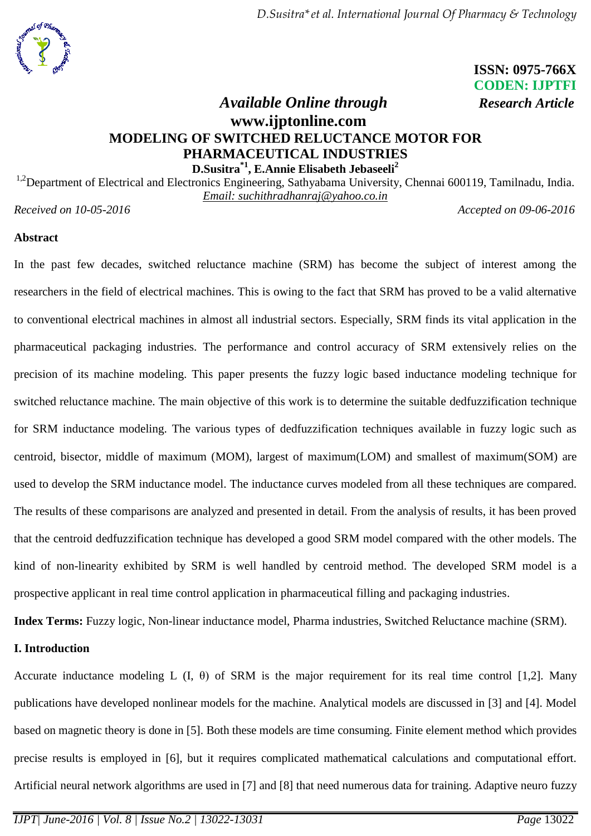

# **ISSN: 0975-766X CODEN: IJPTFI**

# *Available Online through Research Article* **www.ijptonline.com MODELING OF SWITCHED RELUCTANCE MOTOR FOR PHARMACEUTICAL INDUSTRIES D.Susitra\*1, E.Annie Elisabeth Jebaseeli<sup>2</sup>**

<sup>1,2</sup>Department of Electrical and Electronics Engineering, Sathyabama University, Chennai 600119, Tamilnadu, India. *Email: suchithradhanraj@yahoo.co.in*

*Received on 10-05-2016 Accepted on 09-06-2016*

#### **Abstract**

In the past few decades, switched reluctance machine (SRM) has become the subject of interest among the researchers in the field of electrical machines. This is owing to the fact that SRM has proved to be a valid alternative to conventional electrical machines in almost all industrial sectors. Especially, SRM finds its vital application in the pharmaceutical packaging industries. The performance and control accuracy of SRM extensively relies on the precision of its machine modeling. This paper presents the fuzzy logic based inductance modeling technique for switched reluctance machine. The main objective of this work is to determine the suitable dedfuzzification technique for SRM inductance modeling. The various types of dedfuzzification techniques available in fuzzy logic such as centroid, bisector, middle of maximum (MOM), largest of maximum(LOM) and smallest of maximum(SOM) are used to develop the SRM inductance model. The inductance curves modeled from all these techniques are compared. The results of these comparisons are analyzed and presented in detail. From the analysis of results, it has been proved that the centroid dedfuzzification technique has developed a good SRM model compared with the other models. The kind of non-linearity exhibited by SRM is well handled by centroid method. The developed SRM model is a prospective applicant in real time control application in pharmaceutical filling and packaging industries.

**Index Terms:** Fuzzy logic, Non-linear inductance model, Pharma industries, Switched Reluctance machine (SRM).

## **I. Introduction**

Accurate inductance modeling L  $(I, \theta)$  of SRM is the major requirement for its real time control [1,2]. Many publications have developed nonlinear models for the machine. Analytical models are discussed in [3] and [4]. Model based on magnetic theory is done in [5]. Both these models are time consuming. Finite element method which provides precise results is employed in [6], but it requires complicated mathematical calculations and computational effort. Artificial neural network algorithms are used in [7] and [8] that need numerous data for training. Adaptive neuro fuzzy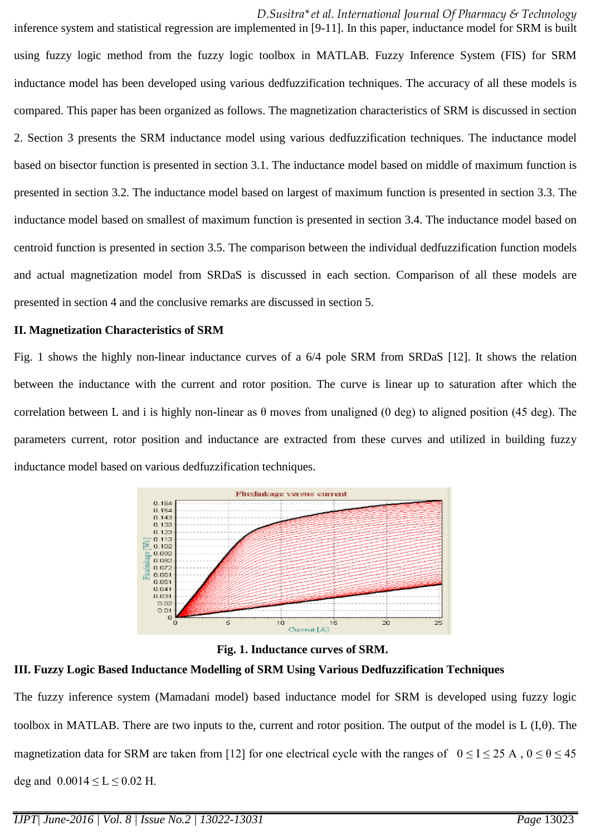*D.Susitra\*et al. International Journal Of Pharmacy & Technology*

inference system and statistical regression are implemented in [9-11]. In this paper, inductance model for SRM is built using fuzzy logic method from the fuzzy logic toolbox in MATLAB. Fuzzy Inference System (FIS) for SRM inductance model has been developed using various dedfuzzification techniques. The accuracy of all these models is compared. This paper has been organized as follows. The magnetization characteristics of SRM is discussed in section 2. Section 3 presents the SRM inductance model using various dedfuzzification techniques. The inductance model based on bisector function is presented in section 3.1. The inductance model based on middle of maximum function is presented in section 3.2. The inductance model based on largest of maximum function is presented in section 3.3. The inductance model based on smallest of maximum function is presented in section 3.4. The inductance model based on centroid function is presented in section 3.5. The comparison between the individual dedfuzzification function models and actual magnetization model from SRDaS is discussed in each section. Comparison of all these models are presented in section 4 and the conclusive remarks are discussed in section 5.

#### **II. Magnetization Characteristics of SRM**

Fig. 1 shows the highly non-linear inductance curves of a 6/4 pole SRM from SRDaS [12]. It shows the relation between the inductance with the current and rotor position. The curve is linear up to saturation after which the correlation between L and i is highly non-linear as  $\theta$  moves from unaligned (0 deg) to aligned position (45 deg). The parameters current, rotor position and inductance are extracted from these curves and utilized in building fuzzy inductance model based on various dedfuzzification techniques.





## **III. Fuzzy Logic Based Inductance Modelling of SRM Using Various Dedfuzzification Techniques**

The fuzzy inference system (Mamadani model) based inductance model for SRM is developed using fuzzy logic toolbox in MATLAB. There are two inputs to the, current and rotor position. The output of the model is  $L(I,\theta)$ . The magnetization data for SRM are taken from [12] for one electrical cycle with the ranges of  $0 \le I \le 25$  A,  $0 \le \theta \le 45$ deg and  $0.0014 \le L \le 0.02$  H.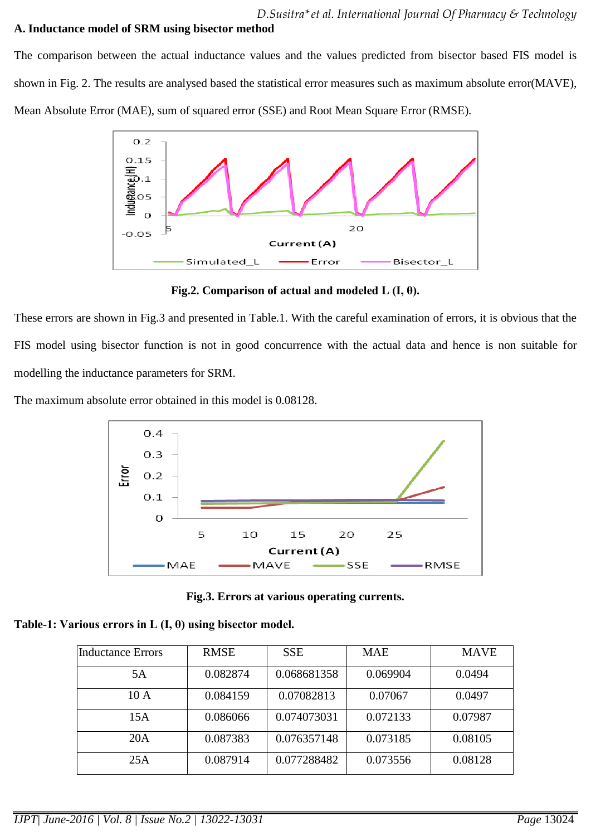#### **A. Inductance model of SRM using bisector method**

The comparison between the actual inductance values and the values predicted from bisector based FIS model is shown in Fig. 2. The results are analysed based the statistical error measures such as maximum absolute error(MAVE), Mean Absolute Error (MAE), sum of squared error (SSE) and Root Mean Square Error (RMSE).



**Fig.2. Comparison of actual and modeled L (I, θ).**

These errors are shown in Fig.3 and presented in Table.1. With the careful examination of errors, it is obvious that the FIS model using bisector function is not in good concurrence with the actual data and hence is non suitable for modelling the inductance parameters for SRM.

The maximum absolute error obtained in this model is 0.08128.



**Fig.3. Errors at various operating currents.**

|  |  | Table-1: Various errors in L $(I, \theta)$ using bisector model. |  |
|--|--|------------------------------------------------------------------|--|
|  |  |                                                                  |  |

| Inductance Errors | <b>RMSE</b> | <b>SSE</b>  | <b>MAE</b> | <b>MAVE</b> |
|-------------------|-------------|-------------|------------|-------------|
| 5A                | 0.082874    | 0.068681358 | 0.069904   | 0.0494      |
| 10A               | 0.084159    | 0.07082813  | 0.07067    | 0.0497      |
| 15A               | 0.086066    | 0.074073031 | 0.072133   | 0.07987     |
| 20A               | 0.087383    | 0.076357148 | 0.073185   | 0.08105     |
| 25A               | 0.087914    | 0.077288482 | 0.073556   | 0.08128     |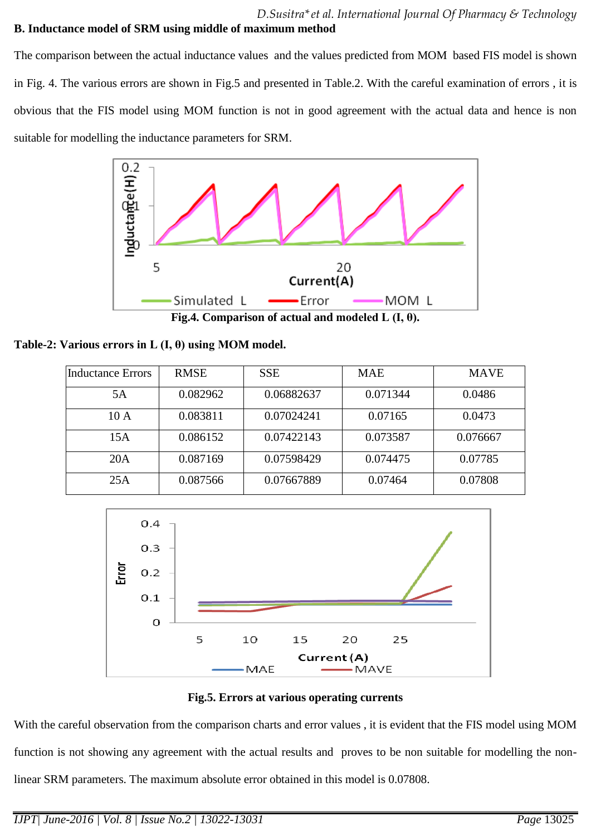$\overline{\phantom{a}}$ 

## **B. Inductance model of SRM using middle of maximum method**

The comparison between the actual inductance values and the values predicted from MOM based FIS model is shown in Fig. 4. The various errors are shown in Fig.5 and presented in Table.2. With the careful examination of errors , it is obvious that the FIS model using MOM function is not in good agreement with the actual data and hence is non suitable for modelling the inductance parameters for SRM.



**Fig.4. Comparison of actual and modeled L (I, θ).**

| Table-2: Various errors in L $(I, \theta)$ using MOM model. |  |  |  |  |  |  |
|-------------------------------------------------------------|--|--|--|--|--|--|
|-------------------------------------------------------------|--|--|--|--|--|--|

| <b>Inductance Errors</b> | <b>RMSE</b> | <b>SSE</b> | <b>MAE</b> | <b>MAVE</b> |
|--------------------------|-------------|------------|------------|-------------|
| 5A                       | 0.082962    | 0.06882637 | 0.071344   | 0.0486      |
| 10A                      | 0.083811    | 0.07024241 | 0.07165    | 0.0473      |
| 15A                      | 0.086152    | 0.07422143 | 0.073587   | 0.076667    |
| 20A                      | 0.087169    | 0.07598429 | 0.074475   | 0.07785     |
| 25A                      | 0.087566    | 0.07667889 | 0.07464    | 0.07808     |



**Fig.5. Errors at various operating currents**

With the careful observation from the comparison charts and error values , it is evident that the FIS model using MOM function is not showing any agreement with the actual results and proves to be non suitable for modelling the nonlinear SRM parameters. The maximum absolute error obtained in this model is 0.07808.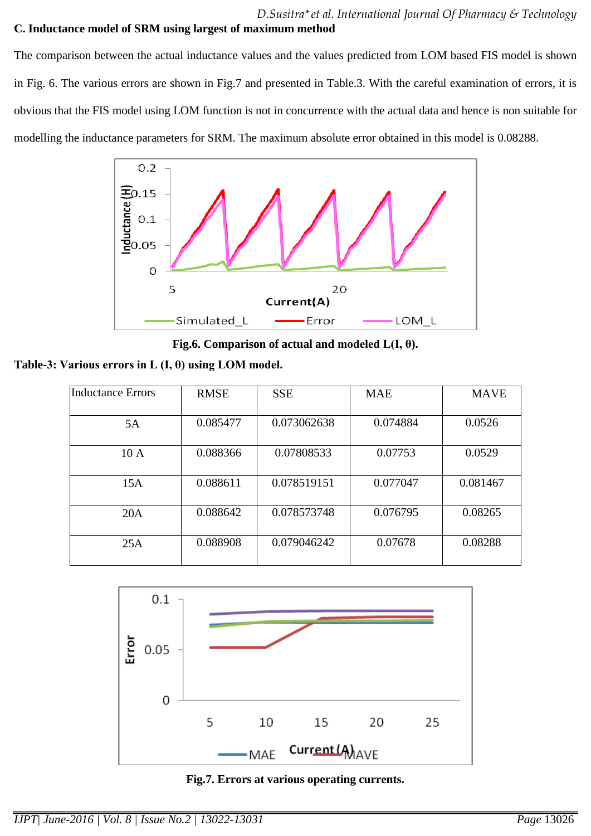# *D.Susitra\*et al. International Journal Of Pharmacy & Technology*

## **C. Inductance model of SRM using largest of maximum method**

The comparison between the actual inductance values and the values predicted from LOM based FIS model is shown in Fig. 6. The various errors are shown in Fig.7 and presented in Table.3. With the careful examination of errors, it is obvious that the FIS model using LOM function is not in concurrence with the actual data and hence is non suitable for modelling the inductance parameters for SRM. The maximum absolute error obtained in this model is 0.08288.



**Fig.6. Comparison of actual and modeled L(I, θ).**

**Table-3: Various errors in L (I, θ) using LOM model.**

| Inductance Errors | <b>RMSE</b> | <b>SSE</b>  | <b>MAE</b> | <b>MAVE</b> |
|-------------------|-------------|-------------|------------|-------------|
| 5A                | 0.085477    | 0.073062638 | 0.074884   | 0.0526      |
| 10A               | 0.088366    | 0.07808533  | 0.07753    | 0.0529      |
| 15A               | 0.088611    | 0.078519151 | 0.077047   | 0.081467    |
| 20A               | 0.088642    | 0.078573748 | 0.076795   | 0.08265     |
| 25A               | 0.088908    | 0.079046242 | 0.07678    | 0.08288     |



**Fig.7. Errors at various operating currents.**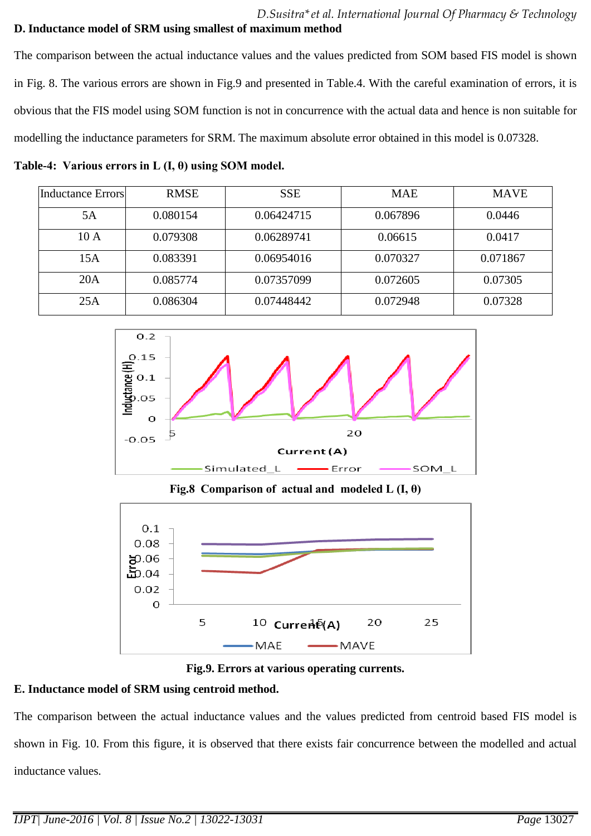## **D. Inductance model of SRM using smallest of maximum method**

The comparison between the actual inductance values and the values predicted from SOM based FIS model is shown in Fig. 8. The various errors are shown in Fig.9 and presented in Table.4. With the careful examination of errors, it is obvious that the FIS model using SOM function is not in concurrence with the actual data and hence is non suitable for modelling the inductance parameters for SRM. The maximum absolute error obtained in this model is 0.07328.

**Table-4: Various errors in L (I, θ) using SOM model.**

| <b>Inductance Errors</b> | <b>RMSE</b> | <b>SSE</b> | <b>MAE</b> | <b>MAVE</b> |
|--------------------------|-------------|------------|------------|-------------|
| 5A                       | 0.080154    | 0.06424715 | 0.067896   | 0.0446      |
| 10A                      | 0.079308    | 0.06289741 | 0.06615    | 0.0417      |
| 15A                      | 0.083391    | 0.06954016 | 0.070327   | 0.071867    |
| 20A                      | 0.085774    | 0.07357099 | 0.072605   | 0.07305     |
| 25A                      | 0.086304    | 0.07448442 | 0.072948   | 0.07328     |



**Fig.8 Comparison of actual and modeled L (I, θ)** 



**Fig.9. Errors at various operating currents.**

# **E. Inductance model of SRM using centroid method.**

The comparison between the actual inductance values and the values predicted from centroid based FIS model is shown in Fig. 10. From this figure, it is observed that there exists fair concurrence between the modelled and actual inductance values.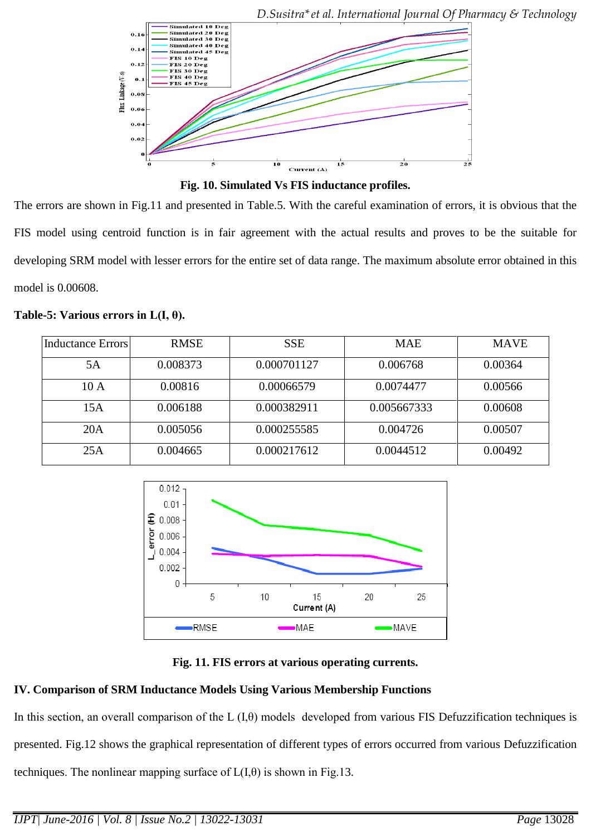

*D.Susitra\*et al. International Journal Of Pharmacy & Technology*

**Fig. 10. Simulated Vs FIS inductance profiles.**

The errors are shown in Fig.11 and presented in Table.5. With the careful examination of errors, it is obvious that the FIS model using centroid function is in fair agreement with the actual results and proves to be the suitable for developing SRM model with lesser errors for the entire set of data range. The maximum absolute error obtained in this model is 0.00608.

#### **Table-5: Various errors in L(I, θ).**

| Inductance Errors | <b>RMSE</b> | <b>SSE</b>  | <b>MAE</b>  | <b>MAVE</b> |
|-------------------|-------------|-------------|-------------|-------------|
|                   |             |             |             |             |
| 5A                | 0.008373    | 0.000701127 | 0.006768    | 0.00364     |
|                   |             |             |             |             |
| 10A               | 0.00816     | 0.00066579  | 0.0074477   | 0.00566     |
|                   |             |             |             |             |
| 15A               | 0.006188    | 0.000382911 | 0.005667333 | 0.00608     |
|                   |             |             |             |             |
| 20A               | 0.005056    | 0.000255585 | 0.004726    | 0.00507     |
|                   |             |             |             |             |
| 25A               | 0.004665    | 0.000217612 | 0.0044512   | 0.00492     |
|                   |             |             |             |             |



**Fig. 11. FIS errors at various operating currents.**

## **IV. Comparison of SRM Inductance Models Using Various Membership Functions**

In this section, an overall comparison of the L  $(I,\theta)$  models developed from various FIS Defuzzification techniques is presented. Fig.12 shows the graphical representation of different types of errors occurred from various Defuzzification techniques. The nonlinear mapping surface of  $L(I,\theta)$  is shown in Fig.13.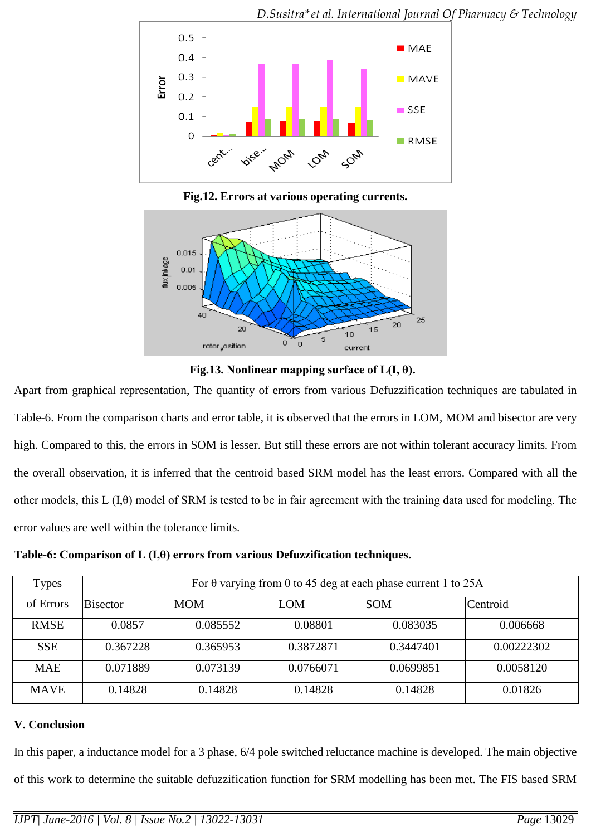

**Fig.12. Errors at various operating currents.**



**Fig.13. Nonlinear mapping surface of L(I, θ).**

Apart from graphical representation, The quantity of errors from various Defuzzification techniques are tabulated in Table-6. From the comparison charts and error table, it is observed that the errors in LOM, MOM and bisector are very high. Compared to this, the errors in SOM is lesser. But still these errors are not within tolerant accuracy limits. From the overall observation, it is inferred that the centroid based SRM model has the least errors. Compared with all the other models, this L (I,θ) model of SRM is tested to be in fair agreement with the training data used for modeling. The error values are well within the tolerance limits.

**Table-6: Comparison of L (I,θ) errors from various Defuzzification techniques.**

| Types       | For $\theta$ varying from 0 to 45 deg at each phase current 1 to 25A |            |            |            |            |  |
|-------------|----------------------------------------------------------------------|------------|------------|------------|------------|--|
| of Errors   | <b>Bisector</b>                                                      | <b>MOM</b> | <b>LOM</b> | <b>SOM</b> | Centroid   |  |
| <b>RMSE</b> | 0.0857                                                               | 0.085552   | 0.08801    | 0.083035   | 0.006668   |  |
| <b>SSE</b>  | 0.367228                                                             | 0.365953   | 0.3872871  | 0.3447401  | 0.00222302 |  |
| <b>MAE</b>  | 0.071889                                                             | 0.073139   | 0.0766071  | 0.0699851  | 0.0058120  |  |
| <b>MAVE</b> | 0.14828                                                              | 0.14828    | 0.14828    | 0.14828    | 0.01826    |  |

## **V. Conclusion**

In this paper, a inductance model for a 3 phase, 6/4 pole switched reluctance machine is developed. The main objective of this work to determine the suitable defuzzification function for SRM modelling has been met. The FIS based SRM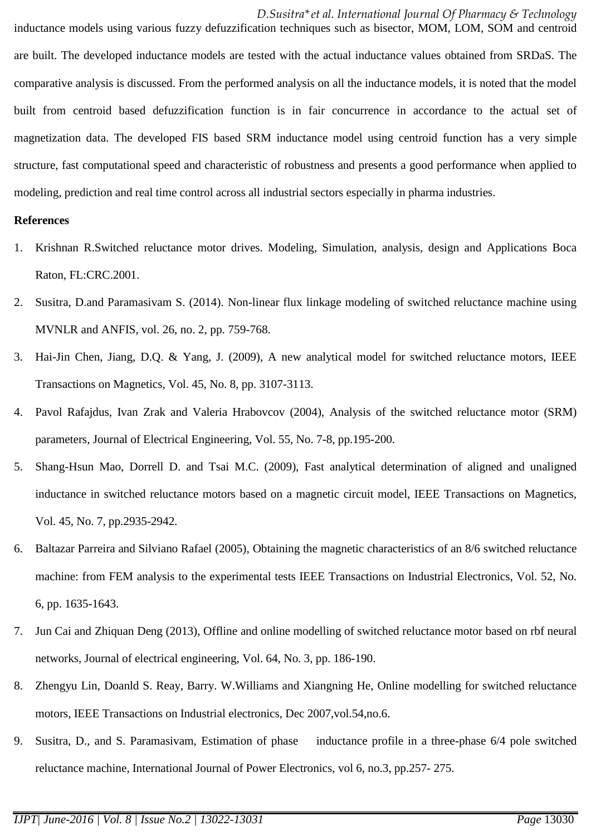*D.Susitra\*et al. International Journal Of Pharmacy & Technology* inductance models using various fuzzy defuzzification techniques such as bisector, MOM, LOM, SOM and centroid are built. The developed inductance models are tested with the actual inductance values obtained from SRDaS. The comparative analysis is discussed. From the performed analysis on all the inductance models, it is noted that the model built from centroid based defuzzification function is in fair concurrence in accordance to the actual set of magnetization data. The developed FIS based SRM inductance model using centroid function has a very simple structure, fast computational speed and characteristic of robustness and presents a good performance when applied to modeling, prediction and real time control across all industrial sectors especially in pharma industries.

#### **References**

- 1. Krishnan R.Switched reluctance motor drives. Modeling, Simulation, analysis, design and Applications Boca Raton, FL:CRC.2001.
- 2. Susitra, D.and Paramasivam S. (2014). Non-linear flux linkage modeling of switched reluctance machine using MVNLR and ANFIS, vol. 26, no. 2, pp. 759-768.
- 3. Hai-Jin Chen, Jiang, D.Q. & Yang, J. (2009), A new analytical model for switched reluctance motors, IEEE Transactions on Magnetics, Vol. 45, No. 8, pp. 3107-3113.
- 4. Pavol Rafajdus, Ivan Zrak and Valeria Hrabovcov (2004), Analysis of the switched reluctance motor (SRM) parameters, Journal of Electrical Engineering, Vol. 55, No. 7-8, pp.195-200.
- 5. Shang-Hsun Mao, Dorrell D. and Tsai M.C. (2009), Fast analytical determination of aligned and unaligned inductance in switched reluctance motors based on a magnetic circuit model, IEEE Transactions on Magnetics, Vol. 45, No. 7, pp.2935-2942.
- 6. Baltazar Parreira and Silviano Rafael (2005), Obtaining the magnetic characteristics of an 8/6 switched reluctance machine: from FEM analysis to the experimental tests IEEE Transactions on Industrial Electronics, Vol. 52, No. 6, pp. 1635-1643.
- 7. Jun Cai and Zhiquan Deng (2013), Offline and online modelling of switched reluctance motor based on rbf neural networks, Journal of electrical engineering, Vol. 64, No. 3, pp. 186-190.
- 8. Zhengyu Lin, Doanld S. Reay, Barry. W.Williams and Xiangning He, Online modelling for switched reluctance motors, IEEE Transactions on Industrial electronics, Dec 2007,vol.54,no.6.
- 9. Susitra, D., and S. Paramasivam, [Estimation of phase inductance profile in a three-phase 6/4 pole switched](http://www.inderscience.com/info/inarticle.php?artid=64648)  [reluctance machine,](http://www.inderscience.com/info/inarticle.php?artid=64648) [International Journal of Power Electronics,](http://www.inderscience.com/jhome.php?jcode=ijpelec) vol 6, no.3, pp.257- 275.